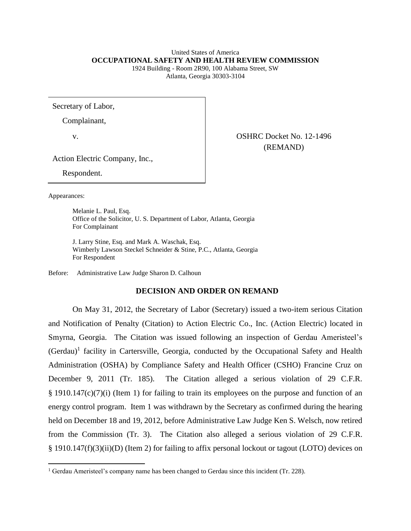### United States of America **OCCUPATIONAL SAFETY AND HEALTH REVIEW COMMISSION**

1924 Building - Room 2R90, 100 Alabama Street, SW Atlanta, Georgia 30303-3104

Secretary of Labor,

Complainant,

v. COSHRC Docket No. 12-1496 (REMAND)

Action Electric Company, Inc.,

Respondent.

Appearances:

 $\overline{a}$ 

Melanie L. Paul, Esq. Office of the Solicitor, U. S. Department of Labor, Atlanta, Georgia For Complainant

J. Larry Stine, Esq. and Mark A. Waschak, Esq. Wimberly Lawson Steckel Schneider & Stine, P.C., Atlanta, Georgia For Respondent

Before: Administrative Law Judge Sharon D. Calhoun

# **DECISION AND ORDER ON REMAND**

On May 31, 2012, the Secretary of Labor (Secretary) issued a two-item serious Citation and Notification of Penalty (Citation) to Action Electric Co., Inc. (Action Electric) located in Smyrna, Georgia. The Citation was issued following an inspection of Gerdau Ameristeel's (Gerdau)<sup>1</sup> facility in Cartersville, Georgia, conducted by the Occupational Safety and Health Administration (OSHA) by Compliance Safety and Health Officer (CSHO) Francine Cruz on December 9, 2011 (Tr. 185). The Citation alleged a serious violation of 29 C.F.R.  $\S$  1910.147(c)(7)(i) (Item 1) for failing to train its employees on the purpose and function of an energy control program. Item 1 was withdrawn by the Secretary as confirmed during the hearing held on December 18 and 19, 2012, before Administrative Law Judge Ken S. Welsch, now retired from the Commission (Tr. 3). The Citation also alleged a serious violation of 29 C.F.R. § 1910.147(f)(3)(ii)(D) (Item 2) for failing to affix personal lockout or tagout (LOTO) devices on

<sup>&</sup>lt;sup>1</sup> Gerdau Ameristeel's company name has been changed to Gerdau since this incident (Tr. 228).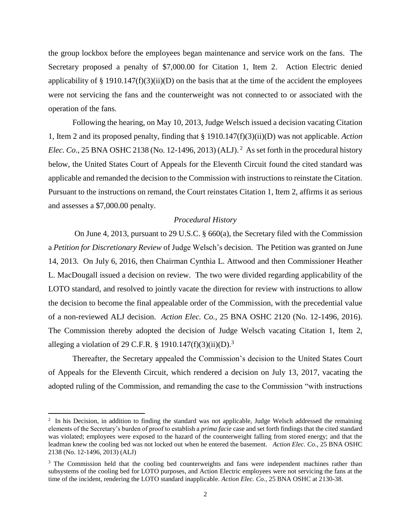the group lockbox before the employees began maintenance and service work on the fans. The Secretary proposed a penalty of \$7,000.00 for Citation 1, Item 2. Action Electric denied applicability of  $\S$  1910.147(f)(3)(ii)(D) on the basis that at the time of the accident the employees were not servicing the fans and the counterweight was not connected to or associated with the operation of the fans.

Following the hearing, on May 10, 2013, Judge Welsch issued a decision vacating Citation 1, Item 2 and its proposed penalty, finding that § 1910.147(f)(3)(ii)(D) was not applicable. *Action Elec. Co.*, 25 BNA OSHC 2138 (No. 12-1496, 2013) (ALJ).<sup>2</sup> As set forth in the procedural history below, the United States Court of Appeals for the Eleventh Circuit found the cited standard was applicable and remanded the decision to the Commission with instructions to reinstate the Citation. Pursuant to the instructions on remand, the Court reinstates Citation 1, Item 2, affirms it as serious and assesses a \$7,000.00 penalty.

#### *Procedural History*

On June 4, 2013, pursuant to 29 U.S.C. § 660(a), the Secretary filed with the Commission a *Petition for Discretionary Review* of Judge Welsch's decision. The Petition was granted on June 14, 2013. On July 6, 2016, then Chairman Cynthia L. Attwood and then Commissioner Heather L. MacDougall issued a decision on review. The two were divided regarding applicability of the LOTO standard, and resolved to jointly vacate the direction for review with instructions to allow the decision to become the final appealable order of the Commission, with the precedential value of a non-reviewed ALJ decision. *Action Elec. Co.,* 25 BNA OSHC 2120 (No. 12-1496, 2016). The Commission thereby adopted the decision of Judge Welsch vacating Citation 1, Item 2, alleging a violation of 29 C.F.R. § 1910.147(f)(3)(ii)(D).<sup>3</sup>

Thereafter, the Secretary appealed the Commission's decision to the United States Court of Appeals for the Eleventh Circuit, which rendered a decision on July 13, 2017, vacating the adopted ruling of the Commission, and remanding the case to the Commission "with instructions

 $\overline{a}$ 

<sup>&</sup>lt;sup>2</sup> In his Decision, in addition to finding the standard was not applicable, Judge Welsch addressed the remaining elements of the Secretary's burden of proof to establish a *prima facie* case and set forth findings that the cited standard was violated; employees were exposed to the hazard of the counterweight falling from stored energy; and that the leadman knew the cooling bed was not locked out when he entered the basement. *Action Elec. Co*., 25 BNA OSHC 2138 (No. 12-1496, 2013) (ALJ)

<sup>&</sup>lt;sup>3</sup> The Commission held that the cooling bed counterweights and fans were independent machines rather than subsystems of the cooling bed for LOTO purposes, and Action Electric employees were not servicing the fans at the time of the incident, rendering the LOTO standard inapplicable. *Action Elec. Co.*, 25 BNA OSHC at 2130-38.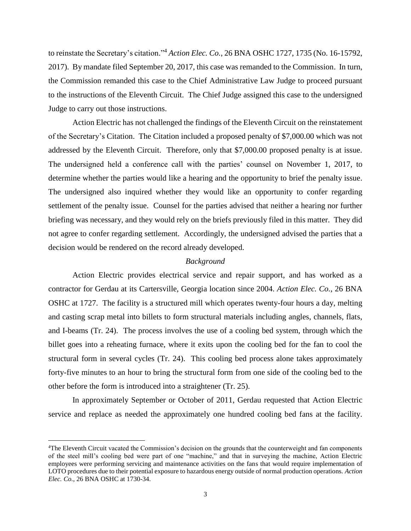to reinstate the Secretary's citation." <sup>4</sup> *Action Elec. Co.*, 26 BNA OSHC 1727, 1735 (No. 16-15792, 2017). By mandate filed September 20, 2017, this case was remanded to the Commission. In turn, the Commission remanded this case to the Chief Administrative Law Judge to proceed pursuant to the instructions of the Eleventh Circuit. The Chief Judge assigned this case to the undersigned Judge to carry out those instructions.

Action Electric has not challenged the findings of the Eleventh Circuit on the reinstatement of the Secretary's Citation. The Citation included a proposed penalty of \$7,000.00 which was not addressed by the Eleventh Circuit. Therefore, only that \$7,000.00 proposed penalty is at issue. The undersigned held a conference call with the parties' counsel on November 1, 2017, to determine whether the parties would like a hearing and the opportunity to brief the penalty issue. The undersigned also inquired whether they would like an opportunity to confer regarding settlement of the penalty issue. Counsel for the parties advised that neither a hearing nor further briefing was necessary, and they would rely on the briefs previously filed in this matter. They did not agree to confer regarding settlement. Accordingly, the undersigned advised the parties that a decision would be rendered on the record already developed.

## *Background*

Action Electric provides electrical service and repair support, and has worked as a contractor for Gerdau at its Cartersville, Georgia location since 2004. *Action Elec. Co.*, 26 BNA OSHC at 1727. The facility is a structured mill which operates twenty-four hours a day, melting and casting scrap metal into billets to form structural materials including angles, channels, flats, and I-beams (Tr. 24). The process involves the use of a cooling bed system, through which the billet goes into a reheating furnace, where it exits upon the cooling bed for the fan to cool the structural form in several cycles (Tr. 24). This cooling bed process alone takes approximately forty-five minutes to an hour to bring the structural form from one side of the cooling bed to the other before the form is introduced into a straightener (Tr. 25).

In approximately September or October of 2011, Gerdau requested that Action Electric service and replace as needed the approximately one hundred cooling bed fans at the facility.

l

<sup>4</sup>The Eleventh Circuit vacated the Commission's decision on the grounds that the counterweight and fan components of the steel mill's cooling bed were part of one "machine," and that in surveying the machine, Action Electric employees were performing servicing and maintenance activities on the fans that would require implementation of LOTO procedures due to their potential exposure to hazardous energy outside of normal production operations. *Action Elec. Co.*, 26 BNA OSHC at 1730-34.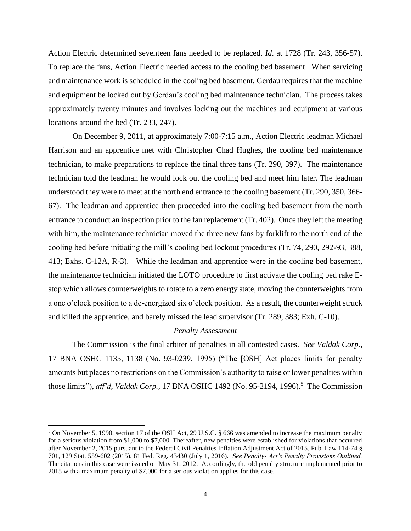Action Electric determined seventeen fans needed to be replaced. *Id*. at 1728 (Tr. 243, 356-57). To replace the fans, Action Electric needed access to the cooling bed basement. When servicing and maintenance work is scheduled in the cooling bed basement, Gerdau requires that the machine and equipment be locked out by Gerdau's cooling bed maintenance technician. The process takes approximately twenty minutes and involves locking out the machines and equipment at various locations around the bed (Tr. 233, 247).

On December 9, 2011, at approximately 7:00-7:15 a.m., Action Electric leadman Michael Harrison and an apprentice met with Christopher Chad Hughes, the cooling bed maintenance technician, to make preparations to replace the final three fans (Tr. 290, 397). The maintenance technician told the leadman he would lock out the cooling bed and meet him later. The leadman understood they were to meet at the north end entrance to the cooling basement (Tr. 290, 350, 366- 67). The leadman and apprentice then proceeded into the cooling bed basement from the north entrance to conduct an inspection prior to the fan replacement (Tr. 402). Once they left the meeting with him, the maintenance technician moved the three new fans by forklift to the north end of the cooling bed before initiating the mill's cooling bed lockout procedures (Tr. 74, 290, 292-93, 388, 413; Exhs. C-12A, R-3). While the leadman and apprentice were in the cooling bed basement, the maintenance technician initiated the LOTO procedure to first activate the cooling bed rake Estop which allows counterweights to rotate to a zero energy state, moving the counterweights from a one o'clock position to a de-energized six o'clock position. As a result, the counterweight struck and killed the apprentice, and barely missed the lead supervisor (Tr. 289, 383; Exh. C-10).

#### *Penalty Assessment*

The Commission is the final arbiter of penalties in all contested cases. *See Valdak Corp.*, 17 BNA OSHC 1135, 1138 (No. 93-0239, 1995) ("The [OSH] Act places limits for penalty amounts but places no restrictions on the Commission's authority to raise or lower penalties within those limits"), *aff'd*, *Valdak Corp.*, 17 BNA OSHC 1492 (No. 95-2194, 1996).<sup>5</sup> The Commission

 $\overline{\phantom{a}}$ 

<sup>5</sup> On November 5, 1990, section 17 of the OSH Act, 29 U.S.C. § 666 was amended to increase the maximum penalty for a serious violation from \$1,000 to \$7,000. Thereafter, new penalties were established for violations that occurred after November 2, 2015 pursuant to the Federal Civil Penalties Inflation Adjustment Act of 2015. Pub. Law 114-74 § 701, 129 Stat. 559-602 (2015). 81 Fed. Reg. 43430 (July 1, 2016). *See Penalty- Act's Penalty Provisions Outlined.*  The citations in this case were issued on May 31, 2012. Accordingly, the old penalty structure implemented prior to 2015 with a maximum penalty of \$7,000 for a serious violation applies for this case.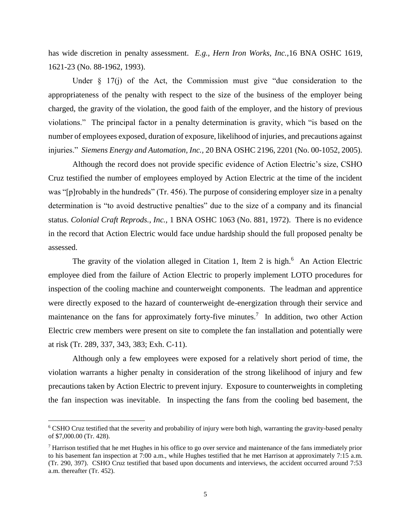has wide discretion in penalty assessment. *E.g., Hern Iron Works, Inc.,*16 BNA OSHC 1619, 1621-23 (No. 88-1962, 1993).

Under  $\S$  17(j) of the Act, the Commission must give "due consideration to the appropriateness of the penalty with respect to the size of the business of the employer being charged, the gravity of the violation, the good faith of the employer, and the history of previous violations." The principal factor in a penalty determination is gravity, which "is based on the number of employees exposed, duration of exposure, likelihood of injuries, and precautions against injuries." *Siemens Energy and Automation, Inc.,* 20 BNA OSHC 2196, 2201 (No. 00-1052, 2005).

Although the record does not provide specific evidence of Action Electric's size, CSHO Cruz testified the number of employees employed by Action Electric at the time of the incident was "[p]robably in the hundreds" (Tr. 456). The purpose of considering employer size in a penalty determination is "to avoid destructive penalties" due to the size of a company and its financial status. *Colonial Craft Reprods., Inc.,* 1 BNA OSHC 1063 (No. 881, 1972). There is no evidence in the record that Action Electric would face undue hardship should the full proposed penalty be assessed.

The gravity of the violation alleged in Citation 1, Item 2 is high.<sup>6</sup> An Action Electric employee died from the failure of Action Electric to properly implement LOTO procedures for inspection of the cooling machine and counterweight components. The leadman and apprentice were directly exposed to the hazard of counterweight de-energization through their service and maintenance on the fans for approximately forty-five minutes.<sup>7</sup> In addition, two other Action Electric crew members were present on site to complete the fan installation and potentially were at risk (Tr. 289, 337, 343, 383; Exh. C-11).

Although only a few employees were exposed for a relatively short period of time, the violation warrants a higher penalty in consideration of the strong likelihood of injury and few precautions taken by Action Electric to prevent injury. Exposure to counterweights in completing the fan inspection was inevitable. In inspecting the fans from the cooling bed basement, the

 $\overline{\phantom{a}}$ 

<sup>&</sup>lt;sup>6</sup> CSHO Cruz testified that the severity and probability of injury were both high, warranting the gravity-based penalty of \$7,000.00 (Tr. 428).

<sup>7</sup> Harrison testified that he met Hughes in his office to go over service and maintenance of the fans immediately prior to his basement fan inspection at 7:00 a.m., while Hughes testified that he met Harrison at approximately 7:15 a.m. (Tr. 290, 397). CSHO Cruz testified that based upon documents and interviews, the accident occurred around 7:53 a.m. thereafter (Tr. 452).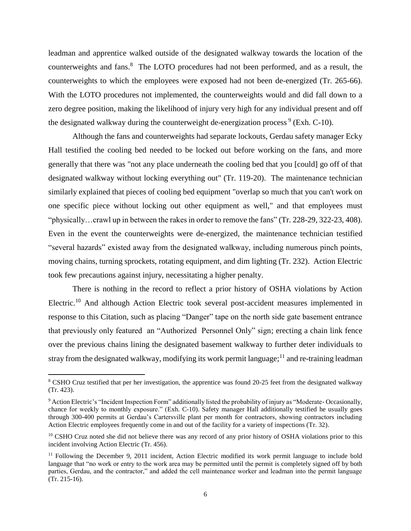leadman and apprentice walked outside of the designated walkway towards the location of the counterweights and fans.<sup>8</sup> The LOTO procedures had not been performed, and as a result, the counterweights to which the employees were exposed had not been de-energized (Tr. 265-66). With the LOTO procedures not implemented, the counterweights would and did fall down to a zero degree position, making the likelihood of injury very high for any individual present and off the designated walkway during the counterweight de-energization process<sup>9</sup> (Exh. C-10).

Although the fans and counterweights had separate lockouts, Gerdau safety manager Ecky Hall testified the cooling bed needed to be locked out before working on the fans, and more generally that there was "not any place underneath the cooling bed that you [could] go off of that designated walkway without locking everything out" (Tr. 119-20). The maintenance technician similarly explained that pieces of cooling bed equipment "overlap so much that you can't work on one specific piece without locking out other equipment as well," and that employees must "physically…crawl up in between the rakes in order to remove the fans" (Tr. 228-29, 322-23, 408). Even in the event the counterweights were de-energized, the maintenance technician testified "several hazards" existed away from the designated walkway, including numerous pinch points, moving chains, turning sprockets, rotating equipment, and dim lighting (Tr. 232). Action Electric took few precautions against injury, necessitating a higher penalty.

There is nothing in the record to reflect a prior history of OSHA violations by Action Electric.<sup>10</sup> And although Action Electric took several post-accident measures implemented in response to this Citation, such as placing "Danger" tape on the north side gate basement entrance that previously only featured an "Authorized Personnel Only" sign; erecting a chain link fence over the previous chains lining the designated basement walkway to further deter individuals to stray from the designated walkway, modifying its work permit language;<sup>11</sup> and re-training leadman

 $\overline{\phantom{a}}$ 

<sup>8</sup> CSHO Cruz testified that per her investigation, the apprentice was found 20-25 feet from the designated walkway (Tr. 423).

<sup>9</sup> Action Electric's "Incident Inspection Form" additionally listed the probability of injury as "Moderate- Occasionally, chance for weekly to monthly exposure." (Exh. C-10). Safety manager Hall additionally testified he usually goes through 300-400 permits at Gerdau's Cartersville plant per month for contractors, showing contractors including Action Electric employees frequently come in and out of the facility for a variety of inspections (Tr. 32).

<sup>&</sup>lt;sup>10</sup> CSHO Cruz noted she did not believe there was any record of any prior history of OSHA violations prior to this incident involving Action Electric (Tr. 456).

<sup>&</sup>lt;sup>11</sup> Following the December 9, 2011 incident, Action Electric modified its work permit language to include bold language that "no work or entry to the work area may be permitted until the permit is completely signed off by both parties, Gerdau, and the contractor," and added the cell maintenance worker and leadman into the permit language (Tr. 215-16).